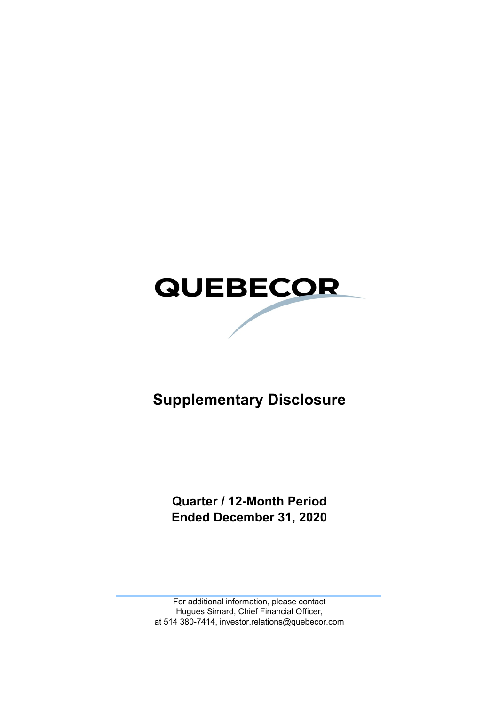

# **Supplementary Disclosure**

**Quarter / 12-Month Period Ended December 31, 2020**

For additional information, please contact Hugues Simard, Chief Financial Officer, at 514 380-7414, investor.relations@quebecor.com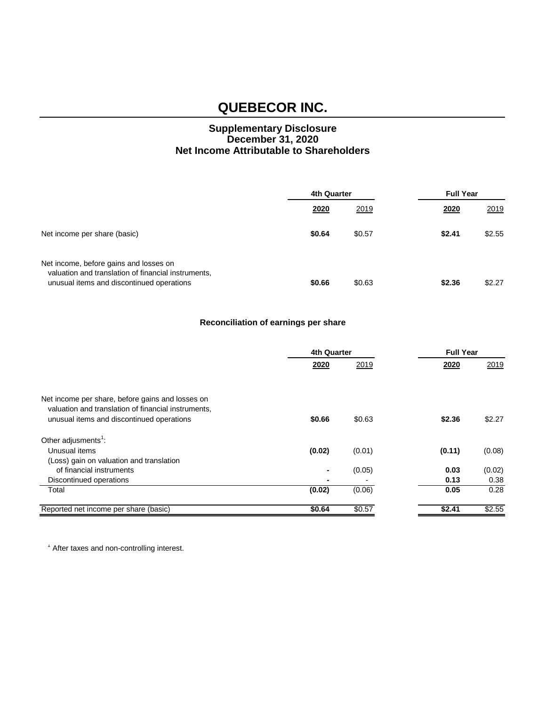### **Supplementary Disclosure December 31, 2020 Net Income Attributable to Shareholders**

|                                                                                                                                            | 4th Quarter |        | <b>Full Year</b> |        |
|--------------------------------------------------------------------------------------------------------------------------------------------|-------------|--------|------------------|--------|
|                                                                                                                                            | 2020        | 2019   | 2020             | 2019   |
| Net income per share (basic)                                                                                                               | \$0.64      | \$0.57 | \$2.41           | \$2.55 |
| Net income, before gains and losses on<br>valuation and translation of financial instruments,<br>unusual items and discontinued operations | \$0.66      | \$0.63 | \$2.36           | \$2.27 |

### **Reconciliation of earnings per share**

|                                                     | 4th Quarter |        |        | <b>Full Year</b> |  |
|-----------------------------------------------------|-------------|--------|--------|------------------|--|
|                                                     | 2020        | 2019   | 2020   | 2019             |  |
|                                                     |             |        |        |                  |  |
| Net income per share, before gains and losses on    |             |        |        |                  |  |
| valuation and translation of financial instruments, |             |        |        |                  |  |
| unusual items and discontinued operations           | \$0.66      | \$0.63 | \$2.36 | \$2.27           |  |
| Other adjusments <sup>1</sup> :                     |             |        |        |                  |  |
| Unusual items                                       | (0.02)      | (0.01) | (0.11) | (0.08)           |  |
| (Loss) gain on valuation and translation            |             |        |        |                  |  |
| of financial instruments                            | ۰           | (0.05) | 0.03   | (0.02)           |  |
| Discontinued operations                             |             |        | 0.13   | 0.38             |  |
| Total                                               | (0.02)      | (0.06) | 0.05   | 0.28             |  |
| Reported net income per share (basic)               | \$0.64      | \$0.57 | \$2.41 | \$2.55           |  |

<sup>1</sup> After taxes and non-controlling interest.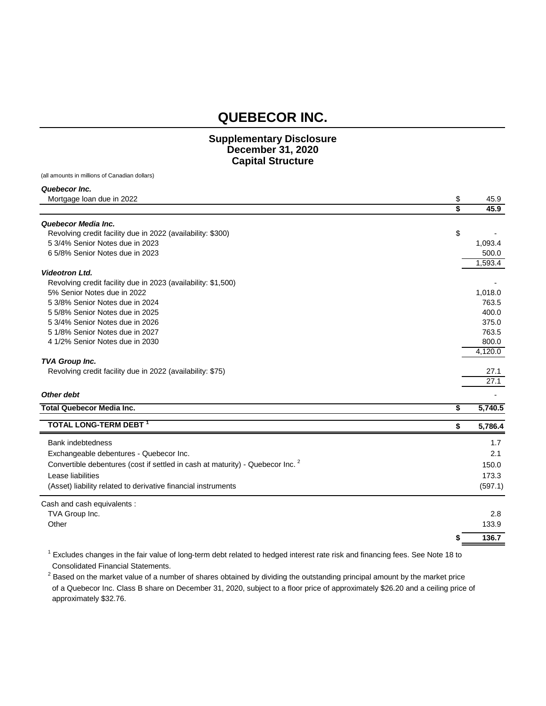#### **Supplementary Disclosure December 31, 2020 Capital Structure**

(all amounts in millions of Canadian dollars)

*Quebecor Inc.*

| Mortgage loan due in 2022                                                                 | \$ | 45.9    |
|-------------------------------------------------------------------------------------------|----|---------|
|                                                                                           | \$ | 45.9    |
| Quebecor Media Inc.                                                                       |    |         |
| Revolving credit facility due in 2022 (availability: \$300)                               | \$ |         |
| 5 3/4% Senior Notes due in 2023                                                           |    | 1,093.4 |
| 6 5/8% Senior Notes due in 2023                                                           |    | 500.0   |
|                                                                                           |    | 1,593.4 |
| <b>Videotron Ltd.</b>                                                                     |    |         |
| Revolving credit facility due in 2023 (availability: \$1,500)                             |    |         |
| 5% Senior Notes due in 2022                                                               |    | 1,018.0 |
| 5 3/8% Senior Notes due in 2024                                                           |    | 763.5   |
| 5 5/8% Senior Notes due in 2025                                                           |    | 400.0   |
| 5 3/4% Senior Notes due in 2026                                                           |    | 375.0   |
| 5 1/8% Senior Notes due in 2027                                                           |    | 763.5   |
| 4 1/2% Senior Notes due in 2030                                                           |    | 800.0   |
|                                                                                           |    | 4,120.0 |
| <b>TVA Group Inc.</b>                                                                     |    |         |
| Revolving credit facility due in 2022 (availability: \$75)                                |    | 27.1    |
|                                                                                           |    | 27.1    |
| Other debt                                                                                |    |         |
| <b>Total Quebecor Media Inc.</b>                                                          | \$ | 5,740.5 |
| TOTAL LONG-TERM DEBT 1                                                                    | \$ | 5,786.4 |
| Bank indebtedness                                                                         |    | 1.7     |
| Exchangeable debentures - Quebecor Inc.                                                   |    | 2.1     |
| Convertible debentures (cost if settled in cash at maturity) - Quebecor Inc. <sup>2</sup> |    | 150.0   |
| Lease liabilities                                                                         |    | 173.3   |
|                                                                                           |    |         |
| (Asset) liability related to derivative financial instruments                             |    | (597.1) |
| Cash and cash equivalents :                                                               |    |         |
| TVA Group Inc.                                                                            |    | 2.8     |
| Other                                                                                     |    | 133.9   |
|                                                                                           | S  | 136.7   |

 $1$  Excludes changes in the fair value of long-term debt related to hedged interest rate risk and financing fees. See Note 18 to Consolidated Financial Statements.

 $^2$  Based on the market value of a number of shares obtained by dividing the outstanding principal amount by the market price of a Quebecor Inc. Class B share on December 31, 2020, subject to a floor price of approximately \$26.20 and a ceiling price of approximately \$32.76.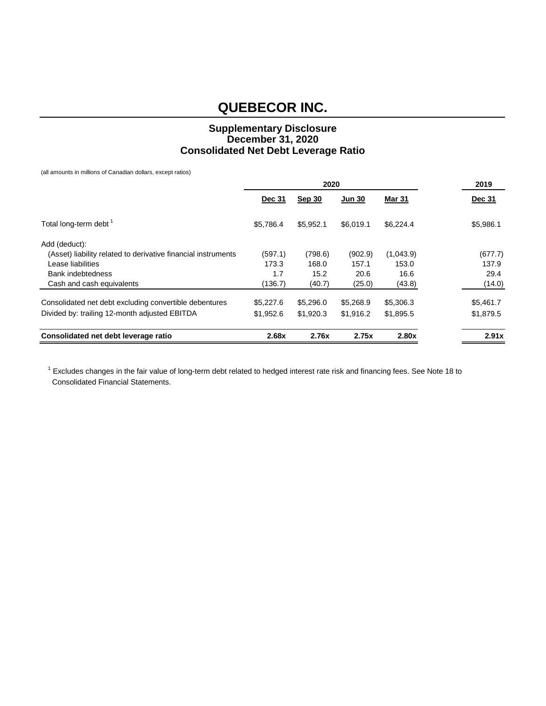### **Supplementary Disclosure December 31, 2020 Consolidated Net Debt Leverage Ratio**

(all amounts in millions of Canadian dollars, except ratios)

|                                                               | 2020          |               |               |               | 2019          |
|---------------------------------------------------------------|---------------|---------------|---------------|---------------|---------------|
|                                                               | <b>Dec 31</b> | <b>Sep 30</b> | <b>Jun 30</b> | <b>Mar 31</b> | <b>Dec 31</b> |
| Total long-term debt <sup>1</sup>                             | \$5.786.4     | \$5,952.1     | \$6.019.1     | \$6,224.4     | \$5,986.1     |
| Add (deduct):                                                 |               |               |               |               |               |
| (Asset) liability related to derivative financial instruments | (597.1)       | (798.6)       | (902.9)       | (1,043.9)     | (677.7)       |
| Lease liabilities                                             | 173.3         | 168.0         | 157.1         | 153.0         | 137.9         |
| Bank indebtedness                                             | 1.7           | 15.2          | 20.6          | 16.6          | 29.4          |
| Cash and cash equivalents                                     | (136.7)       | (40.7)        | (25.0)        | (43.8)        | (14.0)        |
| Consolidated net debt excluding convertible debentures        | \$5,227.6     | \$5,296.0     | \$5,268.9     | \$5,306.3     | \$5,461.7     |
| Divided by: trailing 12-month adjusted EBITDA                 | \$1,952.6     | \$1,920.3     | \$1,916.2     | \$1,895.5     | \$1,879.5     |
| Consolidated net debt leverage ratio                          | 2.68x         | 2.76x         | 2.75x         | 2.80x         | 2.91x         |

 $1$  Excludes changes in the fair value of long-term debt related to hedged interest rate risk and financing fees. See Note 18 to Consolidated Financial Statements.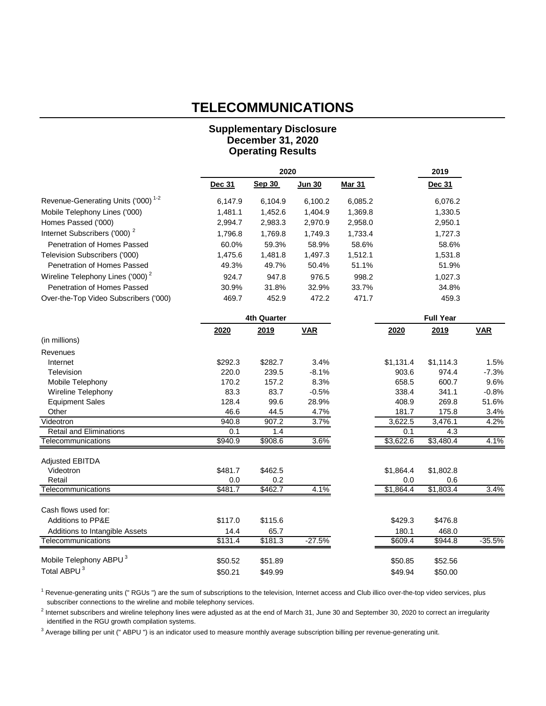## **TELECOMMUNICATIONS**

### **Supplementary Disclosure December 31, 2020 Operating Results**

|                                                |         | 2020               |            |               |           | 2019             |            |  |
|------------------------------------------------|---------|--------------------|------------|---------------|-----------|------------------|------------|--|
|                                                | Dec 31  | <b>Sep 30</b>      | Jun 30     | <b>Mar 31</b> |           | Dec 31           |            |  |
| Revenue-Generating Units ('000) <sup>1-2</sup> | 6,147.9 | 6,104.9            | 6,100.2    | 6,085.2       |           | 6,076.2          |            |  |
| Mobile Telephony Lines ('000)                  | 1,481.1 | 1,452.6            | 1,404.9    | 1,369.8       |           | 1,330.5          |            |  |
| Homes Passed ('000)                            | 2,994.7 | 2,983.3            | 2,970.9    | 2,958.0       |           | 2,950.1          |            |  |
| Internet Subscribers ('000) <sup>2</sup>       | 1,796.8 | 1,769.8            | 1,749.3    | 1,733.4       |           | 1,727.3          |            |  |
| Penetration of Homes Passed                    | 60.0%   | 59.3%              | 58.9%      | 58.6%         |           | 58.6%            |            |  |
| Television Subscribers ('000)                  | 1,475.6 | 1,481.8            | 1,497.3    | 1,512.1       |           | 1,531.8          |            |  |
| Penetration of Homes Passed                    | 49.3%   | 49.7%              | 50.4%      | 51.1%         |           | 51.9%            |            |  |
| Wireline Telephony Lines ('000) <sup>2</sup>   | 924.7   | 947.8              | 976.5      | 998.2         |           | 1,027.3          |            |  |
| Penetration of Homes Passed                    | 30.9%   | 31.8%              | 32.9%      | 33.7%         |           | 34.8%            |            |  |
| Over-the-Top Video Subscribers ('000)          | 469.7   | 452.9              | 472.2      | 471.7         |           | 459.3            |            |  |
|                                                |         | <b>4th Quarter</b> |            |               |           | <b>Full Year</b> |            |  |
|                                                | 2020    | 2019               | <b>VAR</b> |               | 2020      | 2019             | <b>VAR</b> |  |
| (in millions)                                  |         |                    |            |               |           |                  |            |  |
| Revenues                                       |         |                    |            |               |           |                  |            |  |
| Internet                                       | \$292.3 | \$282.7            | 3.4%       |               | \$1,131.4 | \$1,114.3        | 1.5%       |  |
| Television                                     | 220.0   | 239.5              | $-8.1%$    |               | 903.6     | 974.4            | $-7.3%$    |  |
| Mobile Telephony                               | 170.2   | 157.2              | 8.3%       |               | 658.5     | 600.7            | 9.6%       |  |
| Wireline Telephony                             | 83.3    | 83.7               | $-0.5%$    |               | 338.4     | 341.1            | $-0.8%$    |  |
| <b>Equipment Sales</b>                         | 128.4   | 99.6               | 28.9%      |               | 408.9     | 269.8            | 51.6%      |  |
| Other                                          | 46.6    | 44.5               | 4.7%       |               | 181.7     | 175.8            | 3.4%       |  |
| Videotron                                      | 940.8   | 907.2              | 3.7%       |               | 3,622.5   | 3,476.1          | 4.2%       |  |
| <b>Retail and Eliminations</b>                 | 0.1     | 1.4                |            |               | 0.1       | 4.3              |            |  |
| Telecommunications                             | \$940.9 | \$908.6            | 3.6%       |               | \$3,622.6 | \$3,480.4        | 4.1%       |  |
| <b>Adjusted EBITDA</b>                         |         |                    |            |               |           |                  |            |  |
| Videotron                                      | \$481.7 | \$462.5            |            |               | \$1,864.4 | \$1,802.8        |            |  |
| Retail                                         | 0.0     | 0.2                |            |               | 0.0       | 0.6              |            |  |
| Telecommunications                             | \$481.7 | \$462.7            | 4.1%       |               | \$1,864.4 | \$1,803.4        | 3.4%       |  |
| Cash flows used for:                           |         |                    |            |               |           |                  |            |  |
| Additions to PP&E                              | \$117.0 | \$115.6            |            |               | \$429.3   | \$476.8          |            |  |
| Additions to Intangible Assets                 | 14.4    | 65.7               |            |               | 180.1     | 468.0            |            |  |
| Telecommunications                             | \$131.4 | \$181.3            | $-27.5%$   |               | \$609.4   | \$944.8          | $-35.5%$   |  |
|                                                |         |                    |            |               |           |                  |            |  |
| Mobile Telephony ABPU <sup>3</sup>             | \$50.52 | \$51.89            |            |               | \$50.85   | \$52.56          |            |  |
| Total ABPU <sup>3</sup>                        | \$50.21 | \$49.99            |            |               | \$49.94   | \$50.00          |            |  |

<sup>1</sup> Revenue-generating units (" RGUs ") are the sum of subscriptions to the television, Internet access and Club illico over-the-top video services, plus subscriber connections to the wireline and mobile telephony services.

 $^2$  Internet subscribers and wireline telephony lines were adjusted as at the end of March 31, June 30 and September 30, 2020 to correct an irregularity identified in the RGU growth compilation systems.

<sup>3</sup> Average billing per unit ("ABPU ") is an indicator used to measure monthly average subscription billing per revenue-generating unit.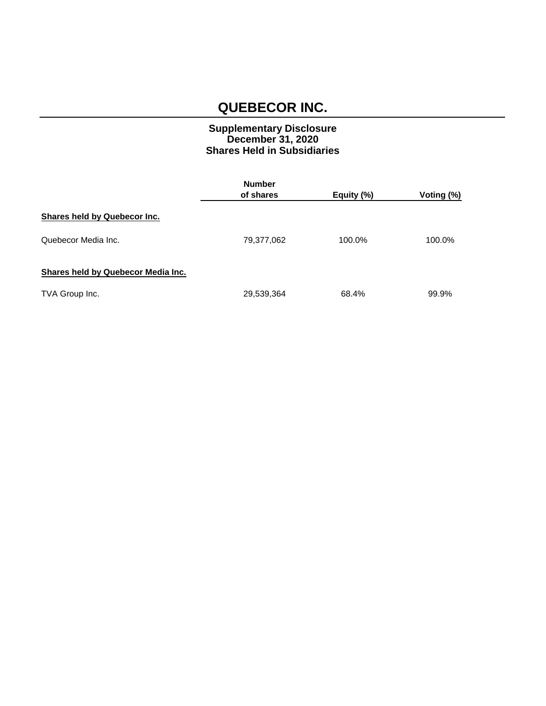### **Supplementary Disclosure December 31, 2020 Shares Held in Subsidiaries**

|                                    | <b>Number</b> |            |            |  |
|------------------------------------|---------------|------------|------------|--|
|                                    | of shares     | Equity (%) | Voting (%) |  |
| Shares held by Quebecor Inc.       |               |            |            |  |
| Quebecor Media Inc.                | 79,377,062    | 100.0%     | 100.0%     |  |
| Shares held by Quebecor Media Inc. |               |            |            |  |
| TVA Group Inc.                     | 29,539,364    | 68.4%      | 99.9%      |  |